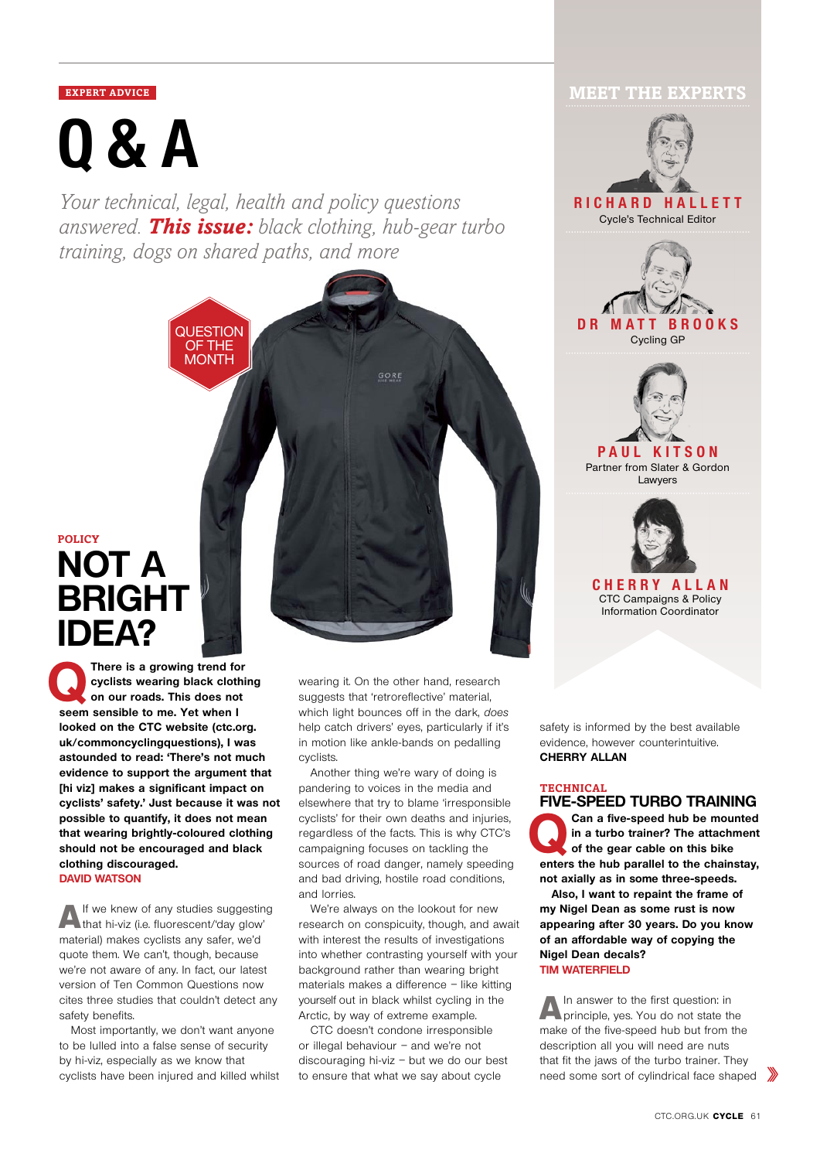# **Q&A**

*Your technical, legal, health and policy questions answered. This issue: black clothing, hub-gear turbo training, dogs on shared paths, and more*

> **QUESTION** OF THE MONTH



**QThere is a growing trend for cyclists wearing black clothing on our roads. This does not seem sensible to me. Yet when I looked on the CTC website (ctc.org. uk/commoncyclingquestions), I was astounded to read: 'There's not much evidence to support the argument that [hi viz] makes a significant impact on cyclists' safety.' Just because it was not possible to quantify, it does not mean that wearing brightly-coloured clothing should not be encouraged and black clothing discouraged. David Watson**

A If we knew of any studies suggesting<br>that hi-viz (i.e. fluorescent/'day glow' material) makes cyclists any safer, we'd quote them. We can't, though, because we're not aware of any. In fact, our latest version of Ten Common Questions now cites three studies that couldn't detect any safety benefits.

Most importantly, we don't want anyone to be lulled into a false sense of security by hi-viz, especially as we know that cyclists have been injured and killed whilst wearing it. On the other hand, research suggests that 'retroreflective' material, which light bounces off in the dark, does help catch drivers' eyes, particularly if it's in motion like ankle-bands on pedalling cyclists.

Another thing we're wary of doing is pandering to voices in the media and elsewhere that try to blame 'irresponsible cyclists' for their own deaths and injuries, regardless of the facts. This is why CTC's campaigning focuses on tackling the sources of road danger, namely speeding and bad driving, hostile road conditions, and lorries.

We're always on the lookout for new research on conspicuity, though, and await with interest the results of investigations into whether contrasting yourself with your background rather than wearing bright materials makes a difference – like kitting yourself out in black whilst cycling in the Arctic, by way of extreme example.

CTC doesn't condone irresponsible or illegal behaviour – and we're not discouraging hi-viz – but we do our best to ensure that what we say about cycle

# **EXPERT ADVICE MEET THE EXPERTS**



safety is informed by the best available evidence, however counterintuitive. **Cherry Allan**

#### **technical FIVE-SPEED TURBO TRAINING**

Can a five-speed hub be mounted<br>in a turbo trainer? The attachment<br>of the gear cable on this bike<br>attachment is a big a big a big a big and the spinner. **in a turbo trainer? The attachment of the gear cable on this bike enters the hub parallel to the chainstay, not axially as in some three-speeds.**

 **Also, I want to repaint the frame of my Nigel Dean as some rust is now appearing after 30 years. Do you know of an affordable way of copying the Nigel Dean decals? Tim Waterfield**

A In answer to the first question: in<br>
principle, yes. You do not state the make of the five-speed hub but from the description all you will need are nuts that fit the jaws of the turbo trainer. They need some sort of cylindrical face shaped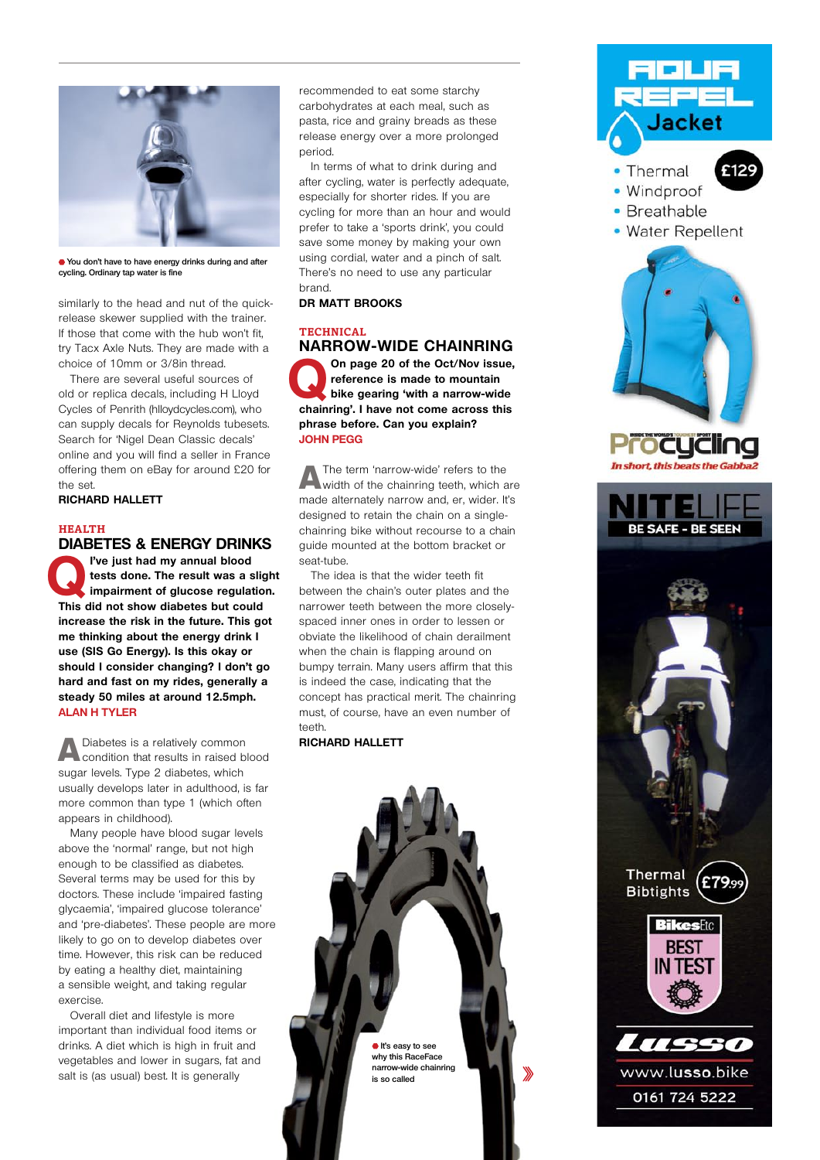

**You don't have to have energy drinks during and after cycling. Ordinary tap water is fine**

similarly to the head and nut of the quickrelease skewer supplied with the trainer. If those that come with the hub won't fit. try Tacx Axle Nuts. They are made with a choice of 10mm or 3/8in thread.

There are several useful sources of old or replica decals, including H Lloyd Cycles of Penrith (hlloydcycles.com), who can supply decals for Reynolds tubesets. Search for 'Nigel Dean Classic decals' online and you will find a seller in France offering them on eBay for around £20 for the set.

**Richard Hallett**

### **Health DIABETES & ENERGY DRINKS**

**PVe just had my annual blood tests done. The result was a slight impairment of glucose regulation. tests done. The result was a slight This did not show diabetes but could increase the risk in the future. This got me thinking about the energy drink I use (SIS Go Energy). Is this okay or should I consider changing? I don't go hard and fast on my rides, generally a steady 50 miles at around 12.5mph. Alan H Tyler**

**A** Diabetes is a relatively common<br>condition that results in raised blood sugar levels. Type 2 diabetes, which usually develops later in adulthood, is far more common than type 1 (which often appears in childhood).

Many people have blood sugar levels above the 'normal' range, but not high enough to be classified as diabetes. Several terms may be used for this by doctors. These include 'impaired fasting glycaemia', 'impaired glucose tolerance' and 'pre-diabetes'. These people are more likely to go on to develop diabetes over time. However, this risk can be reduced by eating a healthy diet, maintaining a sensible weight, and taking regular exercise.

Overall diet and lifestyle is more important than individual food items or drinks. A diet which is high in fruit and vegetables and lower in sugars, fat and salt is (as usual) best. It is generally

recommended to eat some starchy carbohydrates at each meal, such as pasta, rice and grainy breads as these release energy over a more prolonged period.

In terms of what to drink during and after cycling, water is perfectly adequate, especially for shorter rides. If you are cycling for more than an hour and would prefer to take a 'sports drink', you could save some money by making your own using cordial, water and a pinch of salt. There's no need to use any particular brand.

**Dr Matt Brooks**

# **Technical NARROW-WIDE CHAINRING**

On page 20 of the Oct/Nov issue,<br>
perference is made to mountain<br>
bike gearing 'with a narrow-wide<br> **bike gearing** 'with a narrow-wide **reference is made to mountain chainring'. I have not come across this phrase before. Can you explain? John Pegg**

AThe term 'narrow-wide' refers to the width of the chainring teeth, which are made alternately narrow and, er, wider. It's designed to retain the chain on a singlechainring bike without recourse to a chain guide mounted at the bottom bracket or seat-tube.

The idea is that the wider teeth fit between the chain's outer plates and the narrower teeth between the more closelyspaced inner ones in order to lessen or obviate the likelihood of chain derailment when the chain is flapping around on bumpy terrain. Many users affirm that this is indeed the case, indicating that the concept has practical merit. The chainring must, of course, have an even number of teeth.

**Richard Hallett**